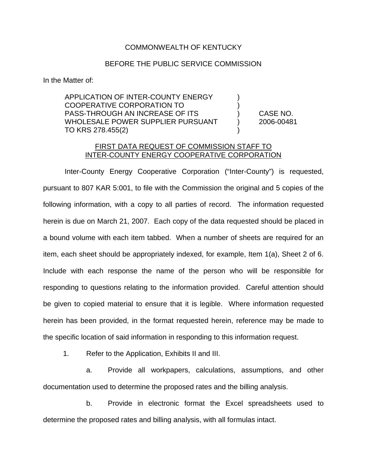## COMMONWEALTH OF KENTUCKY

## BEFORE THE PUBLIC SERVICE COMMISSION

In the Matter of:

APPLICATION OF INTER-COUNTY ENERGY  $\qquad \qquad$  ) COOPERATIVE CORPORATION TO ) PASS-THROUGH AN INCREASE OF ITS ) CASE NO. WHOLESALE POWER SUPPLIER PURSUANT (2006-00481 TO KRS 278.455(2)

## FIRST DATA REQUEST OF COMMISSION STAFF TO INTER-COUNTY ENERGY COOPERATIVE CORPORATION

Inter-County Energy Cooperative Corporation ("Inter-County") is requested, pursuant to 807 KAR 5:001, to file with the Commission the original and 5 copies of the following information, with a copy to all parties of record. The information requested herein is due on March 21, 2007. Each copy of the data requested should be placed in a bound volume with each item tabbed. When a number of sheets are required for an item, each sheet should be appropriately indexed, for example, Item 1(a), Sheet 2 of 6. Include with each response the name of the person who will be responsible for responding to questions relating to the information provided. Careful attention should be given to copied material to ensure that it is legible. Where information requested herein has been provided, in the format requested herein, reference may be made to the specific location of said information in responding to this information request.

1. Refer to the Application, Exhibits II and III.

a. Provide all workpapers, calculations, assumptions, and other documentation used to determine the proposed rates and the billing analysis.

b. Provide in electronic format the Excel spreadsheets used to determine the proposed rates and billing analysis, with all formulas intact.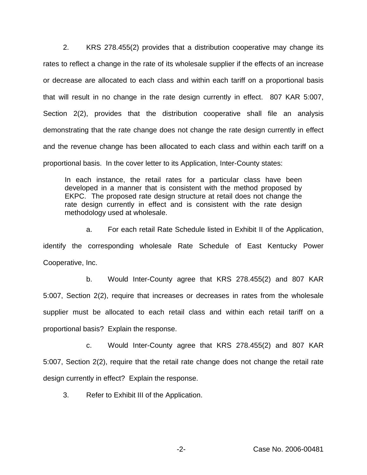2. KRS 278.455(2) provides that a distribution cooperative may change its rates to reflect a change in the rate of its wholesale supplier if the effects of an increase or decrease are allocated to each class and within each tariff on a proportional basis that will result in no change in the rate design currently in effect. 807 KAR 5:007, Section 2(2), provides that the distribution cooperative shall file an analysis demonstrating that the rate change does not change the rate design currently in effect and the revenue change has been allocated to each class and within each tariff on a proportional basis. In the cover letter to its Application, Inter-County states:

In each instance, the retail rates for a particular class have been developed in a manner that is consistent with the method proposed by EKPC. The proposed rate design structure at retail does not change the rate design currently in effect and is consistent with the rate design methodology used at wholesale.

a. For each retail Rate Schedule listed in Exhibit II of the Application, identify the corresponding wholesale Rate Schedule of East Kentucky Power Cooperative, Inc.

b. Would Inter-County agree that KRS 278.455(2) and 807 KAR 5:007, Section 2(2), require that increases or decreases in rates from the wholesale supplier must be allocated to each retail class and within each retail tariff on a proportional basis? Explain the response.

c. Would Inter-County agree that KRS 278.455(2) and 807 KAR 5:007, Section 2(2), require that the retail rate change does not change the retail rate design currently in effect? Explain the response.

3. Refer to Exhibit III of the Application.